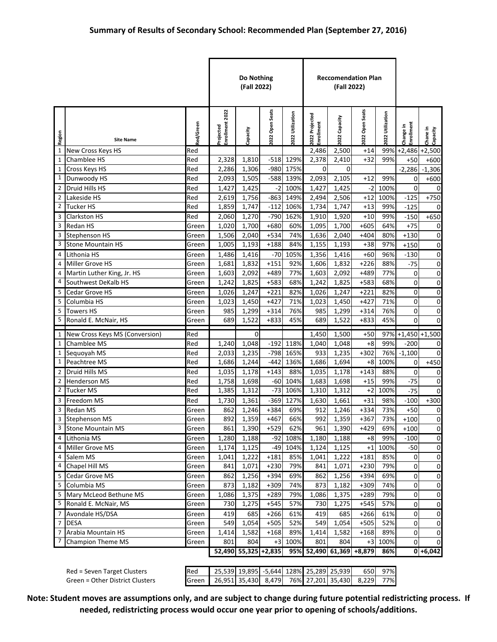|                |                                                   |                |                                     | Do Nothing<br>(Fall 2022) |                  |                  |                              | <b>Reccomendation Plan</b><br>(Fall 2022) |                      |                  |                                |                            |
|----------------|---------------------------------------------------|----------------|-------------------------------------|---------------------------|------------------|------------------|------------------------------|-------------------------------------------|----------------------|------------------|--------------------------------|----------------------------|
| Region         | <b>Site Name</b>                                  | ted/Green      | inrollment 2022<br><b>Projected</b> | Capacity                  | 2022 Open Seats  | 2022 Utilization | 2022 Projected<br>Enrollment | 2022 Capacity                             | 2022 Open Seats      | 2022 Utilization | <b>Enrollment</b><br>Change in | Chane in<br>Capacity       |
| 1              | New Cross Keys HS                                 | Red            |                                     |                           |                  |                  | 2,486                        | 2,500                                     | $+14$                | 99%              | $+2,486$                       | $+2,500$                   |
| $\mathbf{1}$   | Chamblee HS                                       | Red            | 2,328                               | 1,810                     | $-518$           | 129%             | 2,378                        | 2,410                                     | $+32$                | 99%              | +50                            | $+600$                     |
| $\mathbf{1}$   | Cross Keys HS                                     | Red            | 2,286                               | 1,306                     | $-980$           | 175%             | $\mathbf 0$                  | 0                                         |                      |                  | $-2,286$                       | $-1,306$                   |
| 1              | Dunwoody HS                                       | Red            | 2,093                               | 1,505                     | $-588$           | 139%             | 2,093                        | 2,105                                     | $+12$                | 99%              | $\mathbf 0$                    | $+600$                     |
| 2              | Druid Hills HS                                    | Red            | 1,427                               | 1,425                     | $-2$             | 100%             | 1,427                        | 1,425                                     | $-2$                 | 100%             | $\mathbf 0$                    | <sup>0</sup>               |
| $\overline{2}$ | Lakeside HS                                       | Red            | 2,619                               | 1,756                     | $-863$           | 149%             | 2,494                        | 2,506                                     | $+12$                | 100%             | $-125$                         | $+750$                     |
| 2              | <b>Tucker HS</b>                                  | Red            | 1,859                               | 1,747                     | $-112$           | 106%             | 1,734                        | 1,747                                     | $+13$                | 99%              | $-125$                         |                            |
| 3              | Clarkston HS                                      | Red            | 2,060                               | 1,270                     | $-790$           | 162%             | 1,910                        | 1,920                                     | $+10$                | 99%              | $-150$                         | $+650$                     |
| 3              | <b>Redan HS</b>                                   | Green          | 1,020                               | 1,700                     | $+680$           | 60%              | 1,095                        | 1,700                                     | $+605$               | 64%              | $+75$                          | 0                          |
| 3<br>3         | <b>Stephenson HS</b>                              | Green          | 1,506                               | 2,040                     | $+534$           | 74%              | 1,636                        | 2,040                                     | $+404$               | 80%              | $+130$                         | $\overline{0}$             |
|                | <b>Stone Mountain HS</b>                          | Green          | 1,005                               | 1,193                     | $+188$           | 84%              | 1,155                        | 1,193                                     | $+38$                | 97%              | $+150$                         | $\mathbf 0$                |
| 4              | Lithonia HS                                       | Green          | 1,486                               | 1,416                     | $-70$            | 105%             | 1,356                        | 1,416                                     | $+60$                | 96%              | $-130$                         | $\mathbf 0$                |
| 4<br>4         | Miller Grove HS                                   | Green          | 1,681                               | 1,832                     | $+151$<br>$+489$ | 92%<br>77%       | 1,606                        | 1,832                                     | $+226$<br>$+489$     | 88%<br>77%       | $-75$                          | $\mathbf 0$                |
| 4              | Martin Luther King, Jr. HS<br>Southwest DeKalb HS | Green<br>Green | 1,603<br>1,242                      | 2,092<br>1,825            | $+583$           | 68%              | 1,603<br>1,242               | 2,092<br>1,825                            | $+583$               | 68%              | $\mathbf 0$<br>$\mathbf 0$     | $\mathbf 0$<br>$\mathbf 0$ |
| 5              | <b>Cedar Grove HS</b>                             |                | 1,026                               | 1,247                     | $+221$           | 82%              |                              | 1,247                                     | $+221$               | 82%              | 0                              |                            |
| 5              | Columbia HS                                       | Green<br>Green | 1,023                               | 1,450                     | $+427$           | 71%              | 1,026<br>1,023               | 1,450                                     | $+427$               | 71%              | 0                              | $\mathbf 0$<br>$\mathbf 0$ |
| 5              | <b>Towers HS</b>                                  | Green          | 985                                 | 1,299                     | $+314$           | 76%              | 985                          | 1,299                                     | $+314$               | 76%              | 0                              | $\overline{0}$             |
| 5              | Ronald E. McNair, HS                              | Green          | 689                                 | 1,522                     | +833             | 45%              | 689                          | 1,522                                     | $+833$               | 45%              | $\mathbf 0$                    | $\overline{0}$             |
|                |                                                   |                |                                     |                           |                  |                  |                              |                                           |                      |                  |                                |                            |
| 1              | New Cross Keys MS (Conversion)                    | Red            |                                     | 0                         |                  |                  | 1,450                        | 1,500                                     | $+50$                | 97%              |                                | $+1,450$ +1,500            |
| 1              | Chamblee MS                                       | Red            | 1,240                               | 1,048                     | $-192$           | 118%             | 1,040                        | 1,048                                     | $+8$                 | 99%              | $-200$                         | 0                          |
| $\mathbf{1}$   | Sequoyah MS                                       | Red            | 2,033                               | 1,235                     | $-798$           | 165%             | 933                          | 1,235                                     | $+302$               | 76%              | $-1,100$                       | $\Omega$                   |
| 1              | Peachtree MS                                      | Red            | 1,686                               | 1,244                     | $-442$           | 136%             | 1,686                        | 1,694                                     | $+8$                 | 100%             | 0                              | $+450$                     |
| 2              | <b>Druid Hills MS</b>                             | Red            | 1,035                               | 1,178                     | $+143$           | 88%              | 1,035                        | 1,178                                     | $+143$               | 88%              | 0                              | 0                          |
| 2<br>2         | <b>Henderson MS</b><br><b>Tucker MS</b>           | Red<br>Red     | 1,758<br>1,385                      | 1,698<br>1,312            | $-60$<br>$-73$   | 104%<br>106%     | 1,683<br>1,310               | 1,698<br>1,312                            | $+15$<br>$+2$        | 99%<br>100%      | $-75$                          | $\mathbf 0$<br>$\Omega$    |
| 3              | Freedom MS                                        | Red            | 1,730                               | 1,361                     | $-369$           | 127%             | 1,630                        | 1,661                                     | $+31$                | 98%              | $-75$                          |                            |
| 3              | <b>Redan MS</b>                                   | Green          | 862                                 | 1,246                     | $+384$           | 69%              | 912                          | 1,246                                     | $+334$               | 73%              | $-100$<br>$+50$                | $+300$<br>0                |
|                | 3 Stephenson MS                                   | Green          | 892                                 | 1,359                     | $+467$           | 66%              | 992                          | 1,359                                     | $+367$               | 73%              | $+100$                         | $\Omega$                   |
| 3              | <b>Stone Mountain MS</b>                          | Green          | 861                                 | 1,390                     | $+529$           | 62%              | 961                          | 1,390                                     | $+429$               | 69%              | $+100$                         | $\overline{0}$             |
| 4              | Lithonia MS                                       | Green          | 1,280                               | 1,188                     | $-92$            | 108%             | 1,180                        | 1,188                                     | $+8$                 | 99%              | $-100$                         | $\mathbf 0$                |
| 4              | Miller Grove MS                                   | Green          | 1,174                               | 1,125                     | $-49$            | 104%             | 1,124                        | 1,125                                     | $+1$                 | 100%             | $-50$                          | $\overline{0}$             |
| 4              | Salem MS                                          | Green          | 1,041                               | 1,222                     | $+181$           | 85%              | 1,041                        | 1,222                                     | $+181$               | 85%              | 0                              | $\mathbf 0$                |
| 4              | Chapel Hill MS                                    | Green          | 841                                 | 1,071                     | $+230$           | 79%              | 841                          | 1,071                                     | $+230$               | 79%              | $\pmb{0}$                      | $\mathbf 0$                |
| 5              | <b>Cedar Grove MS</b>                             | Green          | 862                                 | 1,256                     | +394             | 69%              | 862                          | 1,256                                     | $+394$               | 69%              | 0                              | $\mathbf 0$                |
| 5              | Columbia MS                                       | Green          | 873                                 | 1,182                     | $+309$           | 74%              | 873                          | 1,182                                     | $+309$               | 74%              | $\pmb{0}$                      | $\mathbf 0$                |
| 5              | Mary McLeod Bethune MS                            | Green          | 1,086                               | 1,375                     | $+289$           | 79%              | 1,086                        | 1,375                                     | $+289$               | 79%              | $\pmb{0}$                      | $\mathbf 0$                |
| 5              | Ronald E. McNair, MS                              | Green          | 730                                 | 1,275                     | $+545$           | 57%              | 730                          | 1,275                                     | $+545$               | 57%              | 0                              | $\mathbf 0$                |
| 7              | Avondale HS/DSA                                   | Green          | 419                                 | 685                       | $+266$           | 61%              | 419                          | 685                                       | $+266$               | 61%              | 0                              | $\mathbf 0$                |
| $\overline{7}$ | <b>DESA</b>                                       | Green          | 549                                 | 1,054                     | $+505$           | 52%              | 549                          | 1,054                                     | $+505$               | 52%              | 0                              | $\mathbf 0$                |
| 7              | Arabia Mountain HS                                | Green          | 1,414                               | 1,582                     | $+168$           | 89%              | 1,414                        | 1,582                                     | $+168$               | 89%              | 0                              | $\overline{0}$             |
| 7              | Champion Theme MS                                 | Green          | 801                                 | 804                       | $+3$             | 100%             | 801                          | 804                                       | $+3$                 | 100%             | 0                              | $\Omega$                   |
|                |                                                   |                |                                     | 52,490 55,325 +2,835      |                  | 95%              |                              |                                           | 52,490 61,369 +8,879 | 86%              |                                | $0 + 6,042$                |

| Red = Seven Target Clusters     | Red | 25,539 19,895 -5,644 128% 25,289 25,939               |  |  |  | 650 97% |
|---------------------------------|-----|-------------------------------------------------------|--|--|--|---------|
| Green = Other District Clusters |     | Green 26,951 35,430 8,479 76% 27,201 35,430 8,229 77% |  |  |  |         |

Note: Student moves are assumptions only, and are subject to change during future potential redistricting process. If **needed, redistricting process would occur one year prior to opening of schools/additions.**